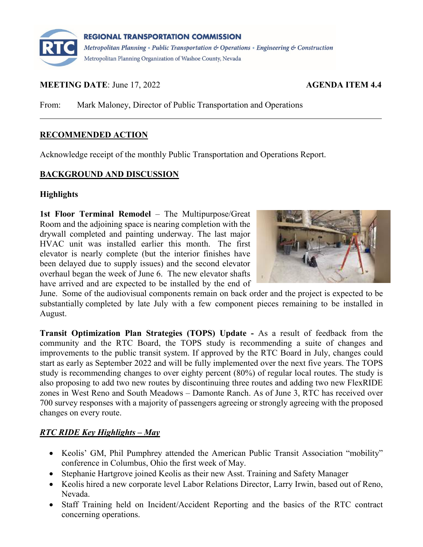

# **MEETING DATE:** June 17, 2022 **AGENDA ITEM 4.4**

From: Mark Maloney, Director of Public Transportation and Operations

# **RECOMMENDED ACTION**

Acknowledge receipt of the monthly Public Transportation and Operations Report.

# **BACKGROUND AND DISCUSSION**

# **Highlights**

**1st Floor Terminal Remodel** – The Multipurpose/Great Room and the adjoining space is nearing completion with the drywall completed and painting underway. The last major HVAC unit was installed earlier this month. The first elevator is nearly complete (but the interior finishes have been delayed due to supply issues) and the second elevator overhaul began the week of June 6. The new elevator shafts have arrived and are expected to be installed by the end of



June. Some of the audiovisual components remain on back order and the project is expected to be substantially completed by late July with a few component pieces remaining to be installed in August.

**Transit Optimization Plan Strategies (TOPS) Update -** As a result of feedback from the community and the RTC Board, the TOPS study is recommending a suite of changes and improvements to the public transit system. If approved by the RTC Board in July, changes could start as early as September 2022 and will be fully implemented over the next five years. The TOPS study is recommending changes to over eighty percent (80%) of regular local routes. The study is also proposing to add two new routes by discontinuing three routes and adding two new FlexRIDE zones in West Reno and South Meadows – Damonte Ranch. As of June 3, RTC has received over 700 survey responses with a majority of passengers agreeing or strongly agreeing with the proposed changes on every route.

# *RTC RIDE Key Highlights – May*

- Keolis' GM, Phil Pumphrey attended the American Public Transit Association "mobility" conference in Columbus, Ohio the first week of May.
- Stephanie Hartgrove joined Keolis as their new Asst. Training and Safety Manager
- Keolis hired a new corporate level Labor Relations Director, Larry Irwin, based out of Reno, Nevada.
- Staff Training held on Incident/Accident Reporting and the basics of the RTC contract concerning operations.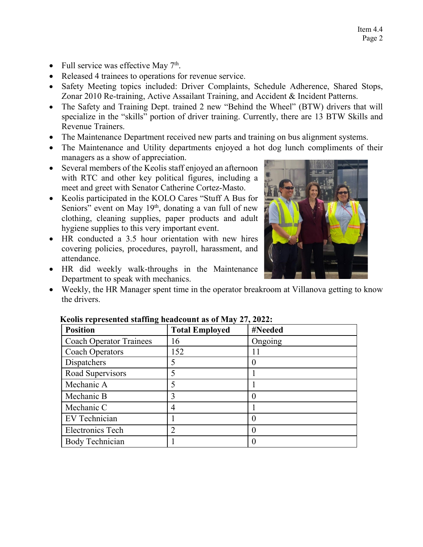- Full service was effective May  $7<sup>th</sup>$ .
- Released 4 trainees to operations for revenue service.
- Safety Meeting topics included: Driver Complaints, Schedule Adherence, Shared Stops, Zonar 2010 Re-training, Active Assailant Training, and Accident & Incident Patterns.
- The Safety and Training Dept. trained 2 new "Behind the Wheel" (BTW) drivers that will specialize in the "skills" portion of driver training. Currently, there are 13 BTW Skills and Revenue Trainers.
- The Maintenance Department received new parts and training on bus alignment systems.
- The Maintenance and Utility departments enjoyed a hot dog lunch compliments of their managers as a show of appreciation.
- Several members of the Keolis staff enjoyed an afternoon with RTC and other key political figures, including a meet and greet with Senator Catherine Cortez-Masto.
- Keolis participated in the KOLO Cares "Stuff A Bus for Seniors" event on May 19<sup>th</sup>, donating a van full of new clothing, cleaning supplies, paper products and adult hygiene supplies to this very important event.
- HR conducted a 3.5 hour orientation with new hires covering policies, procedures, payroll, harassment, and attendance.
- HR did weekly walk-throughs in the Maintenance Department to speak with mechanics.
- Weekly, the HR Manager spent time in the operator breakroom at Villanova getting to know the drivers.

| <b>Position</b>                | <b>Total Employed</b> | #Needed        |
|--------------------------------|-----------------------|----------------|
| <b>Coach Operator Trainees</b> | 16                    | Ongoing        |
| <b>Coach Operators</b>         | 152                   | 11             |
| Dispatchers                    | 5                     | 0              |
| Road Supervisors               |                       |                |
| Mechanic A                     |                       |                |
| Mechanic B                     | 3                     | $\overline{0}$ |
| Mechanic C                     | 4                     |                |
| EV Technician                  |                       | 0              |
| <b>Electronics Tech</b>        | $\overline{2}$        | 0              |
| <b>Body Technician</b>         |                       | 0              |

# **Keolis represented staffing headcount as of May 27, 2022:**

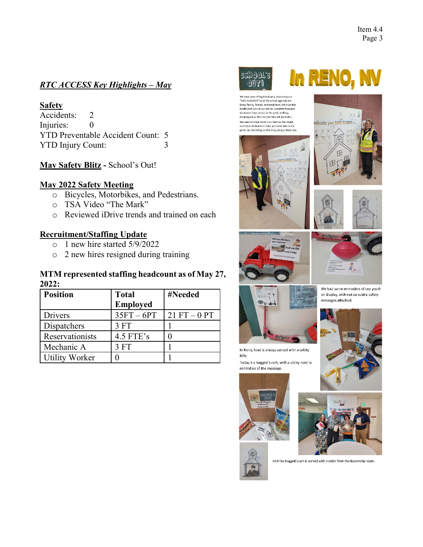# *RTC ACCESS Key Highlights – May*

# **Safety**

Accidents: 2 Injuries: 0 YTD Preventable Accident Count: 5 YTD Injury Count: 3

**May Safety Blitz -** School's Out!

# **May 2022 Safety Meeting**

- o Bicycles, Motorbikes, and Pedestrians.
- o TSA Video "The Mark"
- o Reviewed iDrive trends and trained on each

# **Recruitment/Staffing Update**

- o 1 new hire started 5/9/2022
- o 2 new hires resigned during training

#### **MTM represented staffing headcount as of May 27, 2022:**

| <b>Position</b>       | <b>Total</b>    | #Needed        |
|-----------------------|-----------------|----------------|
|                       | <b>Employed</b> |                |
| Drivers               | $35FT - 6PT$    | $21 FT - 0 PT$ |
| Dispatchers           | 3FT             |                |
| Reservationists       | $4.5$ FTE's     |                |
| Mechanic A            | 3FT             |                |
| <b>Utility Worker</b> |                 |                |



.<br>We have been filling this board, dedicating our<br>"SAFE SUMMER" to all the school age kids we know, family, friends, and neighbors. We trust the





**in RENO, NV** 











messages attached.



Today is a bagged lunch, with a sticky note to remind us of the message.









And the bagged lunch is served with a smile from the leadership team.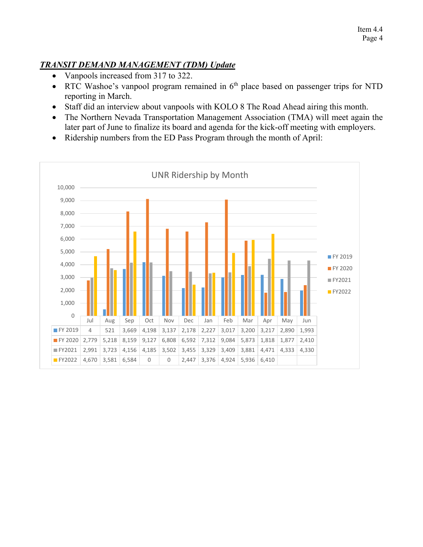# *TRANSIT DEMAND MANAGEMENT (TDM) Update*

- Vanpools increased from 317 to 322.
- RTC Washoe's vanpool program remained in  $6<sup>th</sup>$  place based on passenger trips for NTD reporting in March.
- Staff did an interview about vanpools with KOLO 8 The Road Ahead airing this month.
- The Northern Nevada Transportation Management Association (TMA) will meet again the later part of June to finalize its board and agenda for the kick-off meeting with employers.
- Ridership numbers from the ED Pass Program through the month of April:

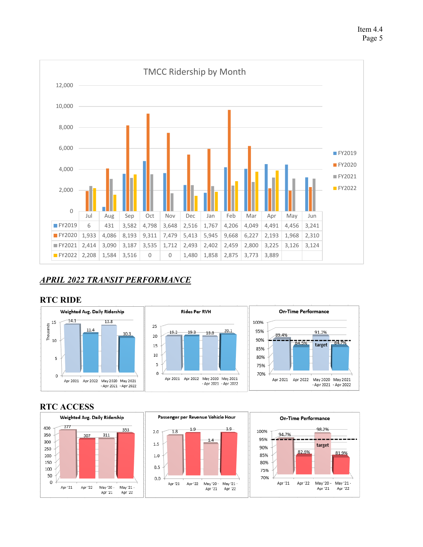



# *APRIL 2022 TRANSIT PERFORMANCE*

#### **RTC RIDE**



# **RTC ACCESS**